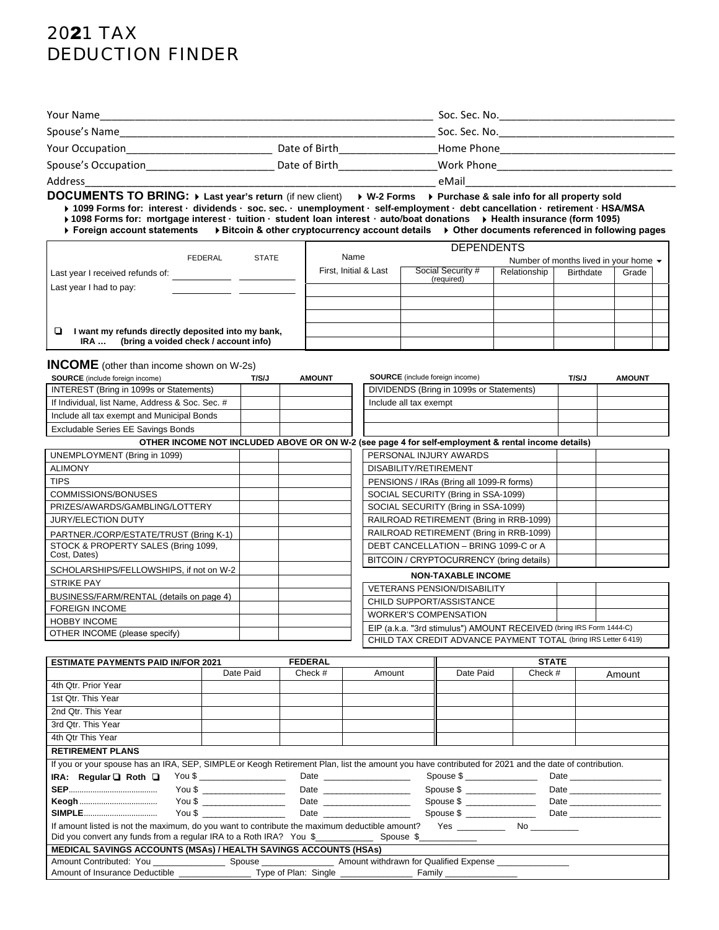# 2021 TAX DEDUCTION FINDER

| Your Name           |               | Soc. Sec. No. |  |
|---------------------|---------------|---------------|--|
| Spouse's Name       |               | Soc. Sec. No. |  |
| Your Occupation     | Date of Birth | Home Phone    |  |
| Spouse's Occupation | Date of Birth | Work Phone    |  |
| Address             |               | eMail         |  |

**DOCUMENTS TO BRING: Last year's return** (if new client) **W-2 Forms Purchase & sale info for all property sold 1099 Forms for: interest · dividends · soc. sec. · unemployment · self-employment · debt cancellation · retirement · HSA/MSA** 

**1098 Forms for: mortgage interest · tuition · student loan interest · auto/boat donations Health insurance (form 1095) Foreign account statements Bitcoin & other cryptocurrency account details Other documents referenced in following pages**

| $\blacktriangleright$ Foreign account statements<br>$\blacktriangleright$ Bitcoin & other cryptocurrency account details<br>$\blacktriangleright$ Other documents refer |  |
|-------------------------------------------------------------------------------------------------------------------------------------------------------------------------|--|
|-------------------------------------------------------------------------------------------------------------------------------------------------------------------------|--|

|                                                         |                       | <b>DEPENDENTS</b>               |              |                                                   |       |  |
|---------------------------------------------------------|-----------------------|---------------------------------|--------------|---------------------------------------------------|-------|--|
| <b>STATE</b><br>FEDERAL                                 | Name                  |                                 |              | Number of months lived in your home $\rightarrow$ |       |  |
| Last year I received refunds of:                        | First, Initial & Last | Social Security #<br>(required) | Relationship | <b>Birthdate</b>                                  | Grade |  |
| Last year I had to pay:                                 |                       |                                 |              |                                                   |       |  |
|                                                         |                       |                                 |              |                                                   |       |  |
|                                                         |                       |                                 |              |                                                   |       |  |
| I want my refunds directly deposited into my bank,<br>0 |                       |                                 |              |                                                   |       |  |
| (bring a voided check / account info)<br>IRA            |                       |                                 |              |                                                   |       |  |

**INCOME** (other than income shown on W-2s)

| <b>SOURCE</b> (include foreign income)          | T/S/J | <b>AMOUNT</b> | <b>SOURCE</b> (include foreign income)                                                             | T/S/J | <b>AMOUNT</b> |
|-------------------------------------------------|-------|---------------|----------------------------------------------------------------------------------------------------|-------|---------------|
| INTEREST (Bring in 1099s or Statements)         |       |               | DIVIDENDS (Bring in 1099s or Statements)                                                           |       |               |
| If Individual, list Name, Address & Soc. Sec. # |       |               | Include all tax exempt                                                                             |       |               |
| Include all tax exempt and Municipal Bonds      |       |               |                                                                                                    |       |               |
| Excludable Series EE Savings Bonds              |       |               |                                                                                                    |       |               |
|                                                 |       |               | OTHER INCOME NOT INCLUDED ABOVE OR ON W-2 (see page 4 for self-employment & rental income details) |       |               |
| UNEMPLOYMENT (Bring in 1099)                    |       |               | PERSONAL INJURY AWARDS                                                                             |       |               |
| <b>ALIMONY</b>                                  |       |               | DISABILITY/RETIREMENT                                                                              |       |               |
| <b>TIPS</b>                                     |       |               | PENSIONS / IRAs (Bring all 1099-R forms)                                                           |       |               |
| COMMISSIONS/BONUSES                             |       |               | SOCIAL SECURITY (Bring in SSA-1099)                                                                |       |               |
| PRIZES/AWARDS/GAMBLING/LOTTERY                  |       |               | SOCIAL SECURITY (Bring in SSA-1099)                                                                |       |               |
| <b>JURY/ELECTION DUTY</b>                       |       |               | RAILROAD RETIREMENT (Bring in RRB-1099)                                                            |       |               |
| PARTNER./CORP/ESTATE/TRUST (Bring K-1)          |       |               | RAILROAD RETIREMENT (Bring in RRB-1099)                                                            |       |               |
| STOCK & PROPERTY SALES (Bring 1099,             |       |               | DEBT CANCELLATION - BRING 1099-C or A                                                              |       |               |
| Cost, Dates)                                    |       |               | BITCOIN / CRYPTOCURRENCY (bring details)                                                           |       |               |
| SCHOLARSHIPS/FELLOWSHIPS, if not on W-2         |       |               | <b>NON-TAXABLE INCOME</b>                                                                          |       |               |
| <b>STRIKE PAY</b>                               |       |               | <b>VETERANS PENSION/DISABILITY</b>                                                                 |       |               |
| BUSINESS/FARM/RENTAL (details on page 4)        |       |               | CHILD SUPPORT/ASSISTANCE                                                                           |       |               |
| <b>FOREIGN INCOME</b>                           |       |               | <b>WORKER'S COMPENSATION</b>                                                                       |       |               |
| <b>HOBBY INCOME</b>                             |       |               | EIP (a.k.a. "3rd stimulus") AMOUNT RECEIVED (bring IRS Form 1444-C)                                |       |               |
| OTHER INCOME (please specify)                   |       |               | CHILD TAX CREDIT ADVANCE PAYMENT TOTAL (bring IRS Letter 6 419)                                    |       |               |
|                                                 |       |               |                                                                                                    |       |               |

| <b>FEDERAL</b><br><b>ESTIMATE PAYMENTS PAID IN/FOR 2021</b>                                                                                         |           |         |                                                                                                      |                              | <b>STATE</b> |        |
|-----------------------------------------------------------------------------------------------------------------------------------------------------|-----------|---------|------------------------------------------------------------------------------------------------------|------------------------------|--------------|--------|
|                                                                                                                                                     | Date Paid | Check # | Amount                                                                                               | Date Paid                    | Check #      | Amount |
| 4th Qtr. Prior Year                                                                                                                                 |           |         |                                                                                                      |                              |              |        |
| 1st Qtr. This Year                                                                                                                                  |           |         |                                                                                                      |                              |              |        |
| 2nd Qtr. This Year                                                                                                                                  |           |         |                                                                                                      |                              |              |        |
| 3rd Qtr. This Year                                                                                                                                  |           |         |                                                                                                      |                              |              |        |
| 4th Qtr This Year                                                                                                                                   |           |         |                                                                                                      |                              |              |        |
| <b>RETIREMENT PLANS</b>                                                                                                                             |           |         |                                                                                                      |                              |              |        |
| If you or your spouse has an IRA, SEP, SIMPLE or Keogh Retirement Plan, list the amount you have contributed for 2021 and the date of contribution. |           |         |                                                                                                      |                              |              |        |
| IRA: Regular $\Box$ Roth $\Box$                                                                                                                     |           |         | You \$ _____________________________Date _____________________________Spouse \$ ____________________ |                              |              |        |
|                                                                                                                                                     |           |         |                                                                                                      |                              |              |        |
|                                                                                                                                                     |           |         |                                                                                                      | Spouse \$ _________________  |              |        |
|                                                                                                                                                     |           |         |                                                                                                      | Spouse \$ __________________ |              |        |
|                                                                                                                                                     |           |         |                                                                                                      |                              |              |        |
|                                                                                                                                                     |           |         |                                                                                                      |                              |              |        |
| <b>MEDICAL SAVINGS ACCOUNTS (MSAs) / HEALTH SAVINGS ACCOUNTS (HSAs)</b>                                                                             |           |         |                                                                                                      |                              |              |        |
|                                                                                                                                                     |           |         |                                                                                                      |                              |              |        |
|                                                                                                                                                     |           |         |                                                                                                      |                              |              |        |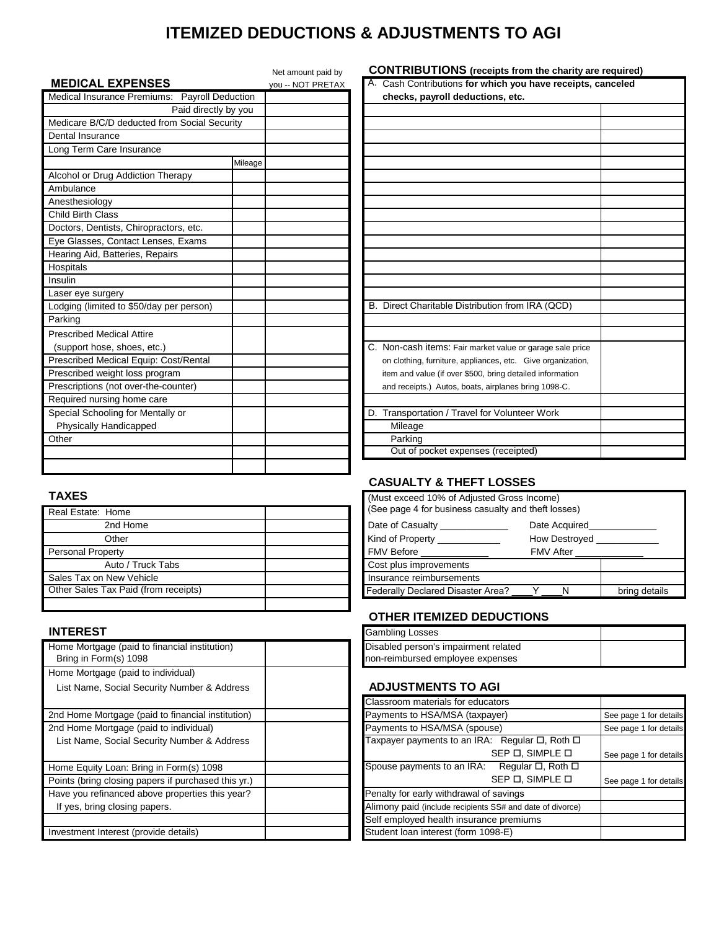# **ITEMIZED DEDUCTIONS & ADJUSTMENTS TO AGI**

|                                               | Net amount paid by | <b>CONTRIBUTIONS</b> (receipts from the charity are required |  |  |
|-----------------------------------------------|--------------------|--------------------------------------------------------------|--|--|
| <b>MEDICAL EXPENSES</b>                       | you -- NOT PRETAX  | A. Cash Contributions for which you have receipts, canceled  |  |  |
| Medical Insurance Premiums: Payroll Deduction |                    | checks, payroll deductions, etc.                             |  |  |
| Paid directly by you                          |                    |                                                              |  |  |
| Medicare B/C/D deducted from Social Security  |                    |                                                              |  |  |
| Dental Insurance                              |                    |                                                              |  |  |
| Long Term Care Insurance                      |                    |                                                              |  |  |
| Mileage                                       |                    |                                                              |  |  |
| Alcohol or Drug Addiction Therapy             |                    |                                                              |  |  |
| Ambulance                                     |                    |                                                              |  |  |
| Anesthesiology                                |                    |                                                              |  |  |
| Child Birth Class                             |                    |                                                              |  |  |
| Doctors, Dentists, Chiropractors, etc.        |                    |                                                              |  |  |
| Eye Glasses, Contact Lenses, Exams            |                    |                                                              |  |  |
| Hearing Aid, Batteries, Repairs               |                    |                                                              |  |  |
| Hospitals                                     |                    |                                                              |  |  |
| Insulin                                       |                    |                                                              |  |  |
| Laser eye surgery                             |                    |                                                              |  |  |
| Lodging (limited to \$50/day per person)      |                    | B. Direct Charitable Distribution from IRA (QCD)             |  |  |
| Parking                                       |                    |                                                              |  |  |
| <b>Prescribed Medical Attire</b>              |                    |                                                              |  |  |
| (support hose, shoes, etc.)                   |                    | C. Non-cash items: Fair market value or garage sale price    |  |  |
| Prescribed Medical Equip: Cost/Rental         |                    | on clothing, furniture, appliances, etc. Give organization,  |  |  |
| Prescribed weight loss program                |                    | item and value (if over \$500, bring detailed information    |  |  |
| Prescriptions (not over-the-counter)          |                    | and receipts.) Autos, boats, airplanes bring 1098-C.         |  |  |
| Required nursing home care                    |                    |                                                              |  |  |
| Special Schooling for Mentally or             |                    | Transportation / Travel for Volunteer Work<br>D.             |  |  |
| Physically Handicapped                        |                    | Mileage                                                      |  |  |
| Other                                         |                    | Parking                                                      |  |  |
|                                               |                    | Out of pocket expenses (receipted)                           |  |  |
|                                               |                    |                                                              |  |  |

#### **TAXES**

| Real Estate: Home                    | (See page 4 for business casualty and theft losses) |       |
|--------------------------------------|-----------------------------------------------------|-------|
| 2nd Home                             | Date of Casualty<br>Date Acquired                   |       |
| Other                                | Kind of Property<br>How Destroyed                   |       |
| Personal Property                    | <b>FMV Before</b><br><b>FMV After</b>               |       |
| Auto / Truck Tabs                    | Cost plus improvements                              |       |
| Sales Tax on New Vehicle             | Insurance reimbursements                            |       |
| Other Sales Tax Paid (from receipts) | Federally Declared Disaster Area?                   | bring |
|                                      |                                                     |       |

## **INTEREST**

| Home Mortgage (paid to financial institution)<br>Bring in Form(s) 1098            | Disabled person's impairment related<br>non-reimbursed employee expenses |  |  |
|-----------------------------------------------------------------------------------|--------------------------------------------------------------------------|--|--|
| Home Mortgage (paid to individual)<br>List Name, Social Security Number & Address | <b>ADJUSTMENTS TO AGI</b>                                                |  |  |
|                                                                                   | Classroom materials for educators                                        |  |  |
| 2nd Home Mortgage (paid to financial institution)                                 | Payments to HSA/MSA (taxpayer)                                           |  |  |
| 2nd Home Mortgage (paid to individual)                                            | Payments to HSA/MSA (spouse)                                             |  |  |
| List Name, Social Security Number & Address                                       | Taxpayer payments to an IRA: Regular □, Roth □<br>SEP D, SIMPLE D        |  |  |
| Home Equity Loan: Bring in Form(s) 1098                                           | Spouse payments to an IRA:<br>Regular □, Roth □                          |  |  |
| Points (bring closing papers if purchased this yr.)                               | SEP D, SIMPLE D                                                          |  |  |
| Have you refinanced above properties this year?                                   | Penalty for early withdrawal of savings                                  |  |  |
| If yes, bring closing papers.                                                     | Alimony paid (include recipients SS# and date of divorce)                |  |  |
|                                                                                   | Self employed health insurance premiums                                  |  |  |
| Investment Interest (provide details)                                             | Student loan interest (form 1098-E)                                      |  |  |

#### **CONTRIBUTIONS** (receipts from the charity are required)

| A. Cash Contributions for which you have receipts, canceled |  |
|-------------------------------------------------------------|--|
| checks, payroll deductions, etc.                            |  |
|                                                             |  |
|                                                             |  |
|                                                             |  |
|                                                             |  |
|                                                             |  |
|                                                             |  |
|                                                             |  |
|                                                             |  |
|                                                             |  |
|                                                             |  |
|                                                             |  |
|                                                             |  |
|                                                             |  |
|                                                             |  |
|                                                             |  |
| B. Direct Charitable Distribution from IRA (QCD)            |  |
|                                                             |  |
|                                                             |  |
| C. Non-cash items: Fair market value or garage sale price   |  |
| on clothing, furniture, appliances, etc. Give organization, |  |
| item and value (if over \$500, bring detailed information   |  |
| and receipts.) Autos, boats, airplanes bring 1098-C.        |  |
|                                                             |  |
| D. Transportation / Travel for Volunteer Work               |  |
| Mileage                                                     |  |
| Parking                                                     |  |
| Out of pocket expenses (receipted)                          |  |

#### **CASUALTY & THEFT LOSSES**

| : Home                   | (Must exceed 10% of Adjusted Gross Income)<br>(See page 4 for business casualty and theft losses) |                      |               |  |
|--------------------------|---------------------------------------------------------------------------------------------------|----------------------|---------------|--|
| 2nd Home                 | Date of Casualty                                                                                  | Date Acquired        |               |  |
| Other                    | Kind of Property                                                                                  | <b>How Destroved</b> |               |  |
| operty                   | <b>FMV Before</b>                                                                                 | <b>FMV After</b>     |               |  |
| Auto / Truck Tabs        | Cost plus improvements                                                                            |                      |               |  |
| งn New Vehicle           | Insurance reimbursements                                                                          |                      |               |  |
| Tax Paid (from receipts) | <b>Federally Declared Disaster Area?</b>                                                          |                      | bring details |  |
|                          |                                                                                                   |                      |               |  |

## **OTHER ITEMIZED DEDUCTIONS**

| Gambling Losses                      |  |
|--------------------------------------|--|
| Disabled person's impairment related |  |
| non-reimbursed employee expenses     |  |

## **ADJUSTMENTS TO AGI**

|                                                     | Classroom materials for educators                         |                        |
|-----------------------------------------------------|-----------------------------------------------------------|------------------------|
| 2nd Home Mortgage (paid to financial institution)   | Payments to HSA/MSA (taxpayer)                            | See page 1 for details |
| 2nd Home Mortgage (paid to individual)              | Payments to HSA/MSA (spouse)                              | See page 1 for details |
| List Name, Social Security Number & Address         | Taxpayer payments to an IRA: Regular $\Box$ , Roth $\Box$ |                        |
|                                                     | SEP D. SIMPLE D                                           | See page 1 for details |
| Home Equity Loan: Bring in Form(s) 1098             | Spouse payments to an IRA:<br>Regular □, Roth □           |                        |
| Points (bring closing papers if purchased this yr.) | SEP D. SIMPLE D                                           | See page 1 for details |
| Have you refinanced above properties this year?     | Penalty for early withdrawal of savings                   |                        |
| If yes, bring closing papers.                       | Alimony paid (include recipients SS# and date of divorce) |                        |
|                                                     | Self employed health insurance premiums                   |                        |
| Investment Interest (provide details)               | Student Ioan interest (form 1098-E)                       |                        |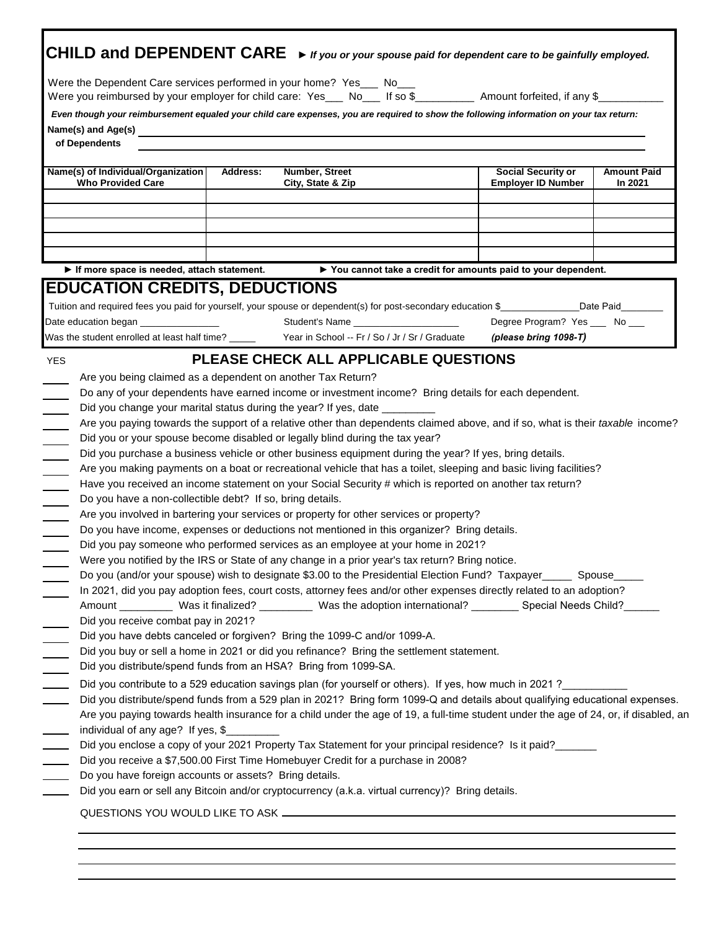|                                                                                                                                                                                                                                                                                                                                                                                                                                                                                                                                                                                                                                                                                                                                                                                                                                                                                                                                                                                                                                                                                                                                                                                                                                                                                                  |                                                 |                                        | CHILD and DEPENDENT CARE $\rightarrow$ if you or your spouse paid for dependent care to be gainfully employed.                                                                                                                                                                                                                                                                                                                                                                                                                                                                                                                                                                                                                 |                               |
|--------------------------------------------------------------------------------------------------------------------------------------------------------------------------------------------------------------------------------------------------------------------------------------------------------------------------------------------------------------------------------------------------------------------------------------------------------------------------------------------------------------------------------------------------------------------------------------------------------------------------------------------------------------------------------------------------------------------------------------------------------------------------------------------------------------------------------------------------------------------------------------------------------------------------------------------------------------------------------------------------------------------------------------------------------------------------------------------------------------------------------------------------------------------------------------------------------------------------------------------------------------------------------------------------|-------------------------------------------------|----------------------------------------|--------------------------------------------------------------------------------------------------------------------------------------------------------------------------------------------------------------------------------------------------------------------------------------------------------------------------------------------------------------------------------------------------------------------------------------------------------------------------------------------------------------------------------------------------------------------------------------------------------------------------------------------------------------------------------------------------------------------------------|-------------------------------|
| Were the Dependent Care services performed in your home? Yes___ No___<br>Were you reimbursed by your employer for child care: Yes___ No___ If so \$_________ Amount forfeited, if any \$_                                                                                                                                                                                                                                                                                                                                                                                                                                                                                                                                                                                                                                                                                                                                                                                                                                                                                                                                                                                                                                                                                                        |                                                 |                                        |                                                                                                                                                                                                                                                                                                                                                                                                                                                                                                                                                                                                                                                                                                                                |                               |
| Even though your reimbursement equaled your child care expenses, you are required to show the following information on your tax return:<br>of Dependents                                                                                                                                                                                                                                                                                                                                                                                                                                                                                                                                                                                                                                                                                                                                                                                                                                                                                                                                                                                                                                                                                                                                         |                                                 |                                        |                                                                                                                                                                                                                                                                                                                                                                                                                                                                                                                                                                                                                                                                                                                                |                               |
| Name(s) of Individual/Organization<br><b>Who Provided Care</b>                                                                                                                                                                                                                                                                                                                                                                                                                                                                                                                                                                                                                                                                                                                                                                                                                                                                                                                                                                                                                                                                                                                                                                                                                                   | Number, Street<br>Address:<br>City, State & Zip |                                        | <b>Social Security or</b><br><b>Employer ID Number</b>                                                                                                                                                                                                                                                                                                                                                                                                                                                                                                                                                                                                                                                                         | <b>Amount Paid</b><br>In 2021 |
| If more space is needed, attach statement.<br><b>EDUCATION CREDITS, DEDUCTIONS</b>                                                                                                                                                                                                                                                                                                                                                                                                                                                                                                                                                                                                                                                                                                                                                                                                                                                                                                                                                                                                                                                                                                                                                                                                               |                                                 |                                        | ▶ You cannot take a credit for amounts paid to your dependent.                                                                                                                                                                                                                                                                                                                                                                                                                                                                                                                                                                                                                                                                 |                               |
| Tuition and required fees you paid for yourself, your spouse or dependent(s) for post-secondary education \$<br>Date education began _________________                                                                                                                                                                                                                                                                                                                                                                                                                                                                                                                                                                                                                                                                                                                                                                                                                                                                                                                                                                                                                                                                                                                                           |                                                 | Student's Name _______________________ | Degree Program? Yes ____ No ___                                                                                                                                                                                                                                                                                                                                                                                                                                                                                                                                                                                                                                                                                                |                               |
| Was the student enrolled at least half time? _______ Year in School -- Fr / So / Jr / Sr / Graduate                                                                                                                                                                                                                                                                                                                                                                                                                                                                                                                                                                                                                                                                                                                                                                                                                                                                                                                                                                                                                                                                                                                                                                                              |                                                 |                                        | (please bring 1098-T)                                                                                                                                                                                                                                                                                                                                                                                                                                                                                                                                                                                                                                                                                                          |                               |
| Did you change your marital status during the year? If yes, date _____<br>$\mathcal{L}$<br>$\overline{\phantom{a}}$<br>Did you or your spouse become disabled or legally blind during the tax year?<br>$\mathcal{L}^{\mathcal{L}}$<br>Did you purchase a business vehicle or other business equipment during the year? If yes, bring details.<br>$\overline{\phantom{0}}$<br>Do you have a non-collectible debt? If so, bring details.<br>Are you involved in bartering your services or property for other services or property?<br>$\overline{\phantom{a}}$<br>Do you have income, expenses or deductions not mentioned in this organizer? Bring details.<br>$\sim$ $\sim$<br>Did you pay someone who performed services as an employee at your home in 2021?<br>Were you notified by the IRS or State of any change in a prior year's tax return? Bring notice.<br>$\frac{1}{1}$<br>Did you receive combat pay in 2021?<br>Did you have debts canceled or forgiven? Bring the 1099-C and/or 1099-A.<br>Did you buy or sell a home in 2021 or did you refinance? Bring the settlement statement.<br>Did you distribute/spend funds from an HSA? Bring from 1099-SA.<br>$\mathcal{L}$<br>Did you contribute to a 529 education savings plan (for yourself or others). If yes, how much in 2021? |                                                 |                                        | Are you paying towards the support of a relative other than dependents claimed above, and if so, what is their taxable income?<br>Are you making payments on a boat or recreational vehicle that has a toilet, sleeping and basic living facilities?<br>Have you received an income statement on your Social Security # which is reported on another tax return?<br>Do you (and/or your spouse) wish to designate \$3.00 to the Presidential Election Fund? Taxpayer_____ Spouse____<br>In 2021, did you pay adoption fees, court costs, attorney fees and/or other expenses directly related to an adoption?<br>Amount ___________ Was it finalized? __________ Was the adoption international? ________ Special Needs Child? |                               |